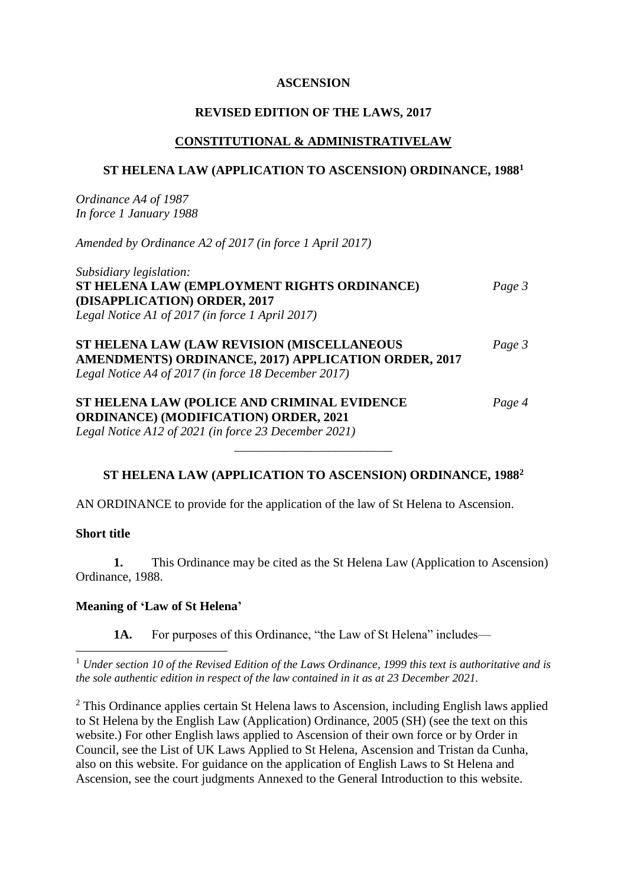## **ASCENSION**

## **REVISED EDITION OF THE LAWS, 2017**

## **CONSTITUTIONAL & ADMINISTRATIVELAW**

## **ST HELENA LAW (APPLICATION TO ASCENSION) ORDINANCE, 1988<sup>1</sup>**

*Ordinance A4 of 1987 In force 1 January 1988*

*Amended by Ordinance A2 of 2017 (in force 1 April 2017)*

*Subsidiary legislation:* **ST HELENA LAW (EMPLOYMENT RIGHTS ORDINANCE)** *Page 3* **(DISAPPLICATION) ORDER, 2017** *Legal Notice A1 of 2017 (in force 1 April 2017)*

**ST HELENA LAW (LAW REVISION (MISCELLANEOUS** *Page 3* **AMENDMENTS) ORDINANCE, 2017) APPLICATION ORDER, 2017** *Legal Notice A4 of 2017 (in force 18 December 2017)*

**ST HELENA LAW (POLICE AND CRIMINAL EVIDENCE** *Page 4* **ORDINANCE) (MODIFICATION) ORDER, 2021** *Legal Notice A12 of 2021 (in force 23 December 2021)*

## **ST HELENA LAW (APPLICATION TO ASCENSION) ORDINANCE, 1988<sup>2</sup>**

\_\_\_\_\_\_\_\_\_\_\_\_\_\_\_\_\_\_\_\_\_\_\_\_\_

AN ORDINANCE to provide for the application of the law of St Helena to Ascension.

## **Short title**

1

**1.** This Ordinance may be cited as the St Helena Law (Application to Ascension) Ordinance, 1988.

### **Meaning of 'Law of St Helena'**

1A. For purposes of this Ordinance, "the Law of St Helena" includes—

<sup>1</sup> *Under section 10 of the Revised Edition of the Laws Ordinance, 1999 this text is authoritative and is the sole authentic edition in respect of the law contained in it as at 23 December 2021.*

 $2$  This Ordinance applies certain St Helena laws to Ascension, including English laws applied to St Helena by the English Law (Application) Ordinance, 2005 (SH) (see the text on this website.) For other English laws applied to Ascension of their own force or by Order in Council, see the List of UK Laws Applied to St Helena, Ascension and Tristan da Cunha, also on this website. For guidance on the application of English Laws to St Helena and Ascension, see the court judgments Annexed to the General Introduction to this website.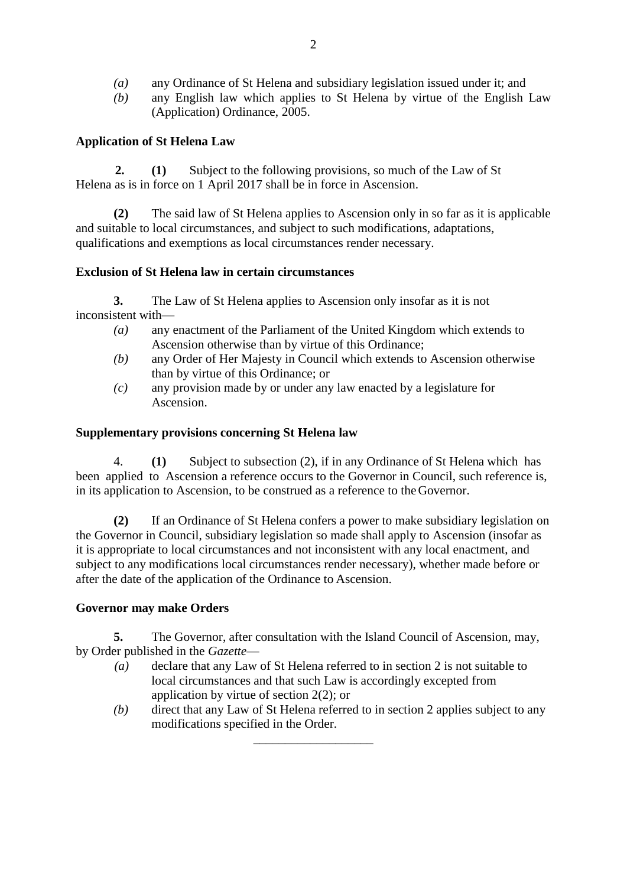- *(a)* any Ordinance of St Helena and subsidiary legislation issued under it; and
- *(b)* any English law which applies to St Helena by virtue of the English Law (Application) Ordinance, 2005.

# **Application of St Helena Law**

 **2. (1)** Subject to the following provisions, so much of the Law of St Helena as is in force on 1 April 2017 shall be in force in Ascension.

**(2)** The said law of St Helena applies to Ascension only in so far as it is applicable and suitable to local circumstances, and subject to such modifications, adaptations, qualifications and exemptions as local circumstances render necessary.

## **Exclusion of St Helena law in certain circumstances**

**3.** The Law of St Helena applies to Ascension only insofar as it is not inconsistent with—

- *(a)* any enactment of the Parliament of the United Kingdom which extends to Ascension otherwise than by virtue of this Ordinance;
- *(b)* any Order of Her Majesty in Council which extends to Ascension otherwise than by virtue of this Ordinance; or
- *(c)* any provision made by or under any law enacted by a legislature for Ascension.

## **Supplementary provisions concerning St Helena law**

4. **(1)** Subject to subsection (2), if in any Ordinance of St Helena which has been applied to Ascension a reference occurs to the Governor in Council, such reference is, in its application to Ascension, to be construed as a reference to theGovernor.

**(2)** If an Ordinance of St Helena confers a power to make subsidiary legislation on the Governor in Council, subsidiary legislation so made shall apply to Ascension (insofar as it is appropriate to local circumstances and not inconsistent with any local enactment, and subject to any modifications local circumstances render necessary), whether made before or after the date of the application of the Ordinance to Ascension.

## **Governor may make Orders**

**5.** The Governor, after consultation with the Island Council of Ascension, may, by Order published in the *Gazette*—

*(a)* declare that any Law of St Helena referred to in section 2 is not suitable to local circumstances and that such Law is accordingly excepted from application by virtue of section 2(2); or

\_\_\_\_\_\_\_\_\_\_\_\_\_\_\_\_\_\_\_

*(b)* direct that any Law of St Helena referred to in section 2 applies subject to any modifications specified in the Order.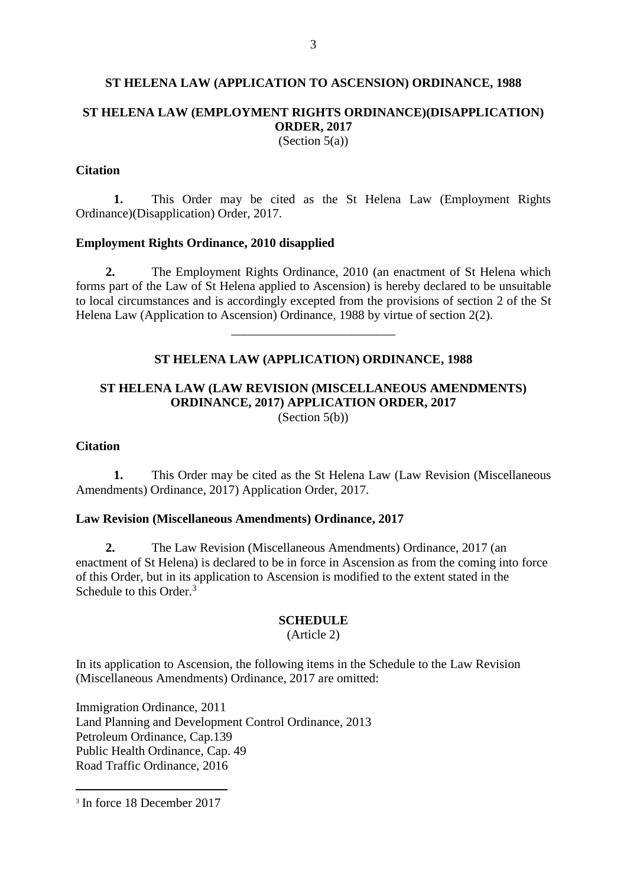#### **ST HELENA LAW (APPLICATION TO ASCENSION) ORDINANCE, 1988**

# **ST HELENA LAW (EMPLOYMENT RIGHTS ORDINANCE)(DISAPPLICATION) ORDER, 2017**

(Section  $5(a)$ )

#### **Citation**

**1.** This Order may be cited as the St Helena Law (Employment Rights Ordinance)(Disapplication) Order, 2017.

#### **Employment Rights Ordinance, 2010 disapplied**

**2.** The Employment Rights Ordinance, 2010 (an enactment of St Helena which forms part of the Law of St Helena applied to Ascension) is hereby declared to be unsuitable to local circumstances and is accordingly excepted from the provisions of section 2 of the St Helena Law (Application to Ascension) Ordinance, 1988 by virtue of section 2(2).

#### **ST HELENA LAW (APPLICATION) ORDINANCE, 1988**

\_\_\_\_\_\_\_\_\_\_\_\_\_\_\_\_\_\_\_\_\_\_\_\_\_\_

# **ST HELENA LAW (LAW REVISION (MISCELLANEOUS AMENDMENTS) ORDINANCE, 2017) APPLICATION ORDER, 2017**

(Section 5(b))

#### **Citation**

**1.** This Order may be cited as the St Helena Law (Law Revision (Miscellaneous Amendments) Ordinance, 2017) Application Order, 2017.

## **Law Revision (Miscellaneous Amendments) Ordinance, 2017**

**2.** The Law Revision (Miscellaneous Amendments) Ordinance, 2017 (an enactment of St Helena) is declared to be in force in Ascension as from the coming into force of this Order, but in its application to Ascension is modified to the extent stated in the Schedule to this Order.<sup>3</sup>

#### **SCHEDULE**

(Article 2)

In its application to Ascension, the following items in the Schedule to the Law Revision (Miscellaneous Amendments) Ordinance, 2017 are omitted:

Immigration Ordinance, 2011 Land Planning and Development Control Ordinance, 2013 Petroleum Ordinance, Cap.139 Public Health Ordinance, Cap. 49 Road Traffic Ordinance, 2016

1

<sup>3</sup> In force 18 December 2017